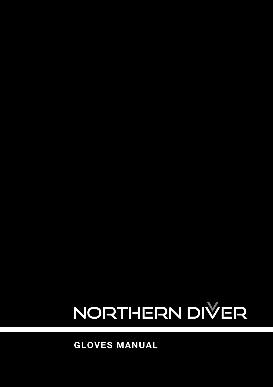# NORTHERN DIVER

**GLOVES MANUAL**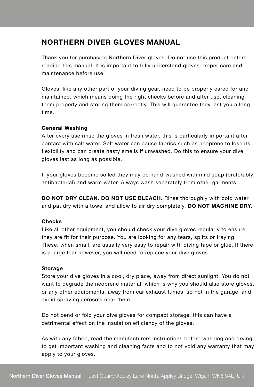## **NORTHERN DIVER GLOVES MANUAL**

Thank you for purchasing Northern Diver gloves. Do not use this product before reading this manual. It is important to fully understand gloves proper care and maintenance before use.

Gloves, like any other part of your diving gear, need to be properly cared for and maintained, which means doing the right checks before and after use, cleaning them properly and storing them correctly. This will guarantee they last you a long time.

#### **General Washing**

After every use rinse the gloves in fresh water, this is particularly important after contact with salt water. Salt water can cause fabrics such as neoprene to lose its flexibility and can create nasty smells if unwashed. Do this to ensure your dive gloves last as long as possible.

If your gloves become soiled they may be hand-washed with mild soap (preferably antibacterial) and warm water. Always wash separately from other garments.

**DO NOT DRY CLEAN. DO NOT USE BLEACH.** Rinse thoroughly with cold water and pat dry with a towel and allow to air dry completely. **DO NOT MACHINE DRY.**

#### **Checks**

Like all other equipment, you should check your dive gloves regularly to ensure they are fit for their purpose. You are looking for any tears, splits or fraying. These, when small, are usually very easy to repair with diving tape or glue. If there is a large tear however, you will need to replace your dive gloves.

#### **Storage**

Store your dive gloves in a cool, dry place, away from direct sunlight. You do not want to degrade the neoprene material, which is why you should also store gloves. or any other equipments, away from car exhaust fumes, so not in the garage, and avoid spraying aerosols near them.

Do not bend or fold your dive gloves for compact storage, this can have a detrimental effect on the insulation efficiency of the gloves.

As with any fabric, read the manufacturers instructions before washing and drying to get important washing and cleaning facts and to not void any warranty that may apply to your gloves.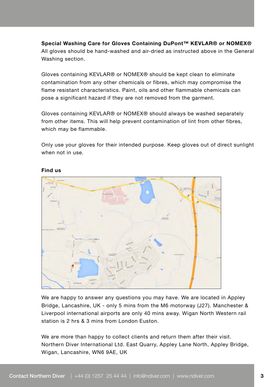**Special Washing Care for Gloves Containing DuPont™ KEVLAR® or NOMEX®** All gloves should be hand-washed and air-dried as instructed above in the General Washing section.

Gloves containing KEVLAR® or NOMEX® should be kept clean to eliminate contamination from any other chemicals or fibres, which may compromise the flame resistant characteristics. Paint, oils and other flammable chemicals can pose a significant hazard if they are not removed from the garment.

Gloves containing KEVLAR® or NOMEX® should always be washed separately from other items. This will help prevent contamination of lint from other fibres, which may be flammable.

Only use your gloves for their intended purpose. Keep gloves out of direct sunlight when not in use.



#### **Find us**

We are happy to answer any questions you may have. We are located in Appley Bridge, Lancashire, UK - only 5 mins from the M6 motorway (J27). Manchester & Liverpool international airports are only 40 mins away. Wigan North Western rail station is 2 hrs & 3 mins from London Euston.

We are more than happy to collect clients and return them after their visit. Northern Diver International Ltd. East Quarry, Appley Lane North, Appley Bridge, Wigan, Lancashire, WN6 9AE, UK